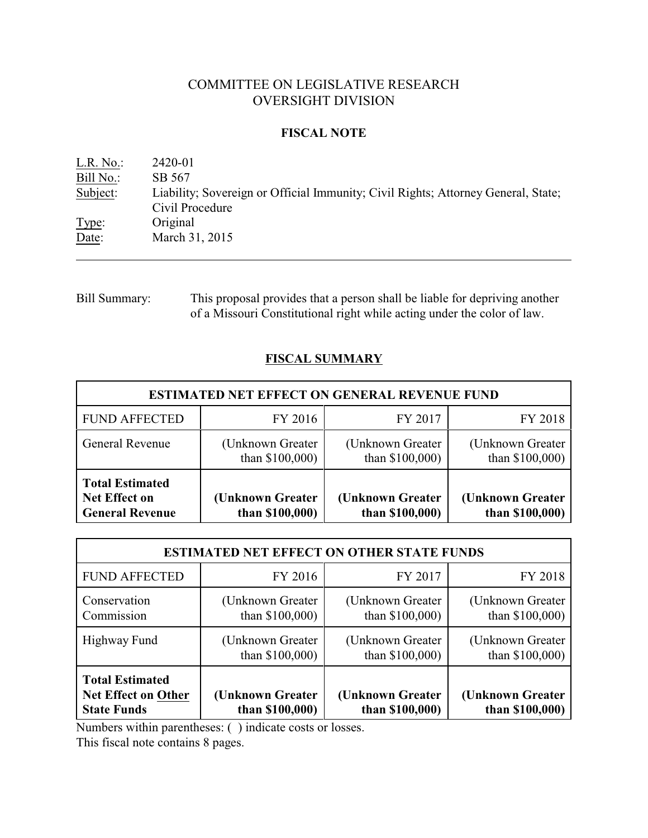# COMMITTEE ON LEGISLATIVE RESEARCH OVERSIGHT DIVISION

## **FISCAL NOTE**

| $L.R. No.$ : | 2420-01                                                                                              |
|--------------|------------------------------------------------------------------------------------------------------|
| Bill No.:    | SB 567                                                                                               |
| Subject:     | Liability; Sovereign or Official Immunity; Civil Rights; Attorney General, State;<br>Civil Procedure |
| Type:        | Original                                                                                             |
| Date:        | March 31, 2015                                                                                       |

Bill Summary: This proposal provides that a person shall be liable for depriving another of a Missouri Constitutional right while acting under the color of law.

# **FISCAL SUMMARY**

| <b>ESTIMATED NET EFFECT ON GENERAL REVENUE FUND</b>                      |                                      |                                      |                                      |  |  |
|--------------------------------------------------------------------------|--------------------------------------|--------------------------------------|--------------------------------------|--|--|
| <b>FUND AFFECTED</b>                                                     | FY 2016                              | FY 2017                              | FY 2018                              |  |  |
| <b>General Revenue</b>                                                   | (Unknown Greater)<br>than $$100,000$ | (Unknown Greater)<br>than \$100,000) | (Unknown Greater)<br>than \$100,000) |  |  |
| <b>Total Estimated</b><br><b>Net Effect on</b><br><b>General Revenue</b> | (Unknown Greater)<br>than $$100,000$ | (Unknown Greater<br>than \$100,000)  | (Unknown Greater<br>than \$100,000)  |  |  |

| <b>ESTIMATED NET EFFECT ON OTHER STATE FUNDS</b>                           |                                        |                                      |                                        |  |  |
|----------------------------------------------------------------------------|----------------------------------------|--------------------------------------|----------------------------------------|--|--|
| <b>FUND AFFECTED</b>                                                       | FY 2016                                | FY 2017                              | FY 2018                                |  |  |
| Conservation<br>Commission                                                 | (Unknown Greater)<br>than $$100,000$ ) | (Unknown Greater)<br>than \$100,000) | (Unknown Greater)<br>than $$100,000$ ) |  |  |
| Highway Fund                                                               | (Unknown Greater)<br>than $$100,000$ ) | (Unknown Greater)<br>than \$100,000) | (Unknown Greater)<br>than \$100,000)   |  |  |
| <b>Total Estimated</b><br><b>Net Effect on Other</b><br><b>State Funds</b> | (Unknown Greater<br>than \$100,000)    | (Unknown Greater<br>than \$100,000)  | (Unknown Greater<br>than \$100,000)    |  |  |

Numbers within parentheses: ( ) indicate costs or losses.

This fiscal note contains 8 pages.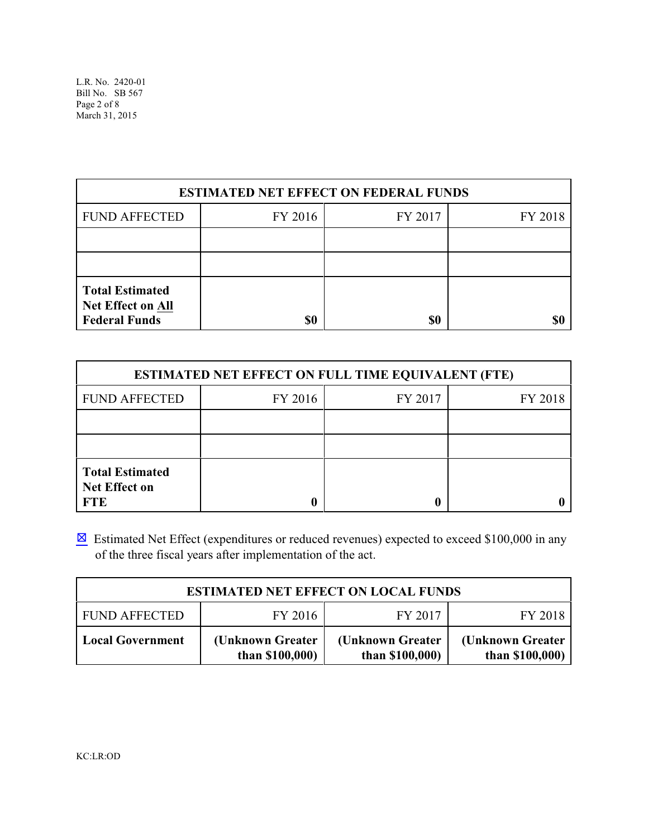L.R. No. 2420-01 Bill No. SB 567 Page 2 of 8 March 31, 2015

| <b>ESTIMATED NET EFFECT ON FEDERAL FUNDS</b>                               |         |         |         |  |  |
|----------------------------------------------------------------------------|---------|---------|---------|--|--|
| <b>FUND AFFECTED</b>                                                       | FY 2016 | FY 2017 | FY 2018 |  |  |
|                                                                            |         |         |         |  |  |
|                                                                            |         |         |         |  |  |
| <b>Total Estimated</b><br><b>Net Effect on All</b><br><b>Federal Funds</b> | \$0     | \$0     |         |  |  |

| <b>ESTIMATED NET EFFECT ON FULL TIME EQUIVALENT (FTE)</b>    |         |         |         |  |  |
|--------------------------------------------------------------|---------|---------|---------|--|--|
| <b>FUND AFFECTED</b>                                         | FY 2016 | FY 2017 | FY 2018 |  |  |
|                                                              |         |         |         |  |  |
|                                                              |         |         |         |  |  |
| <b>Total Estimated</b><br><b>Net Effect on</b><br><b>FTE</b> |         |         |         |  |  |

 $\boxtimes$  Estimated Net Effect (expenditures or reduced revenues) expected to exceed \$100,000 in any of the three fiscal years after implementation of the act.

| <b>ESTIMATED NET EFFECT ON LOCAL FUNDS</b> |                                        |                                      |                                      |  |
|--------------------------------------------|----------------------------------------|--------------------------------------|--------------------------------------|--|
| <b>FUND AFFECTED</b>                       | FY 2016                                | FY 2017                              | FY 2018                              |  |
| <b>Local Government</b>                    | (Unknown Greater)<br>than $$100,000$ ) | (Unknown Greater)<br>than $$100,000$ | (Unknown Greater)<br>than $$100,000$ |  |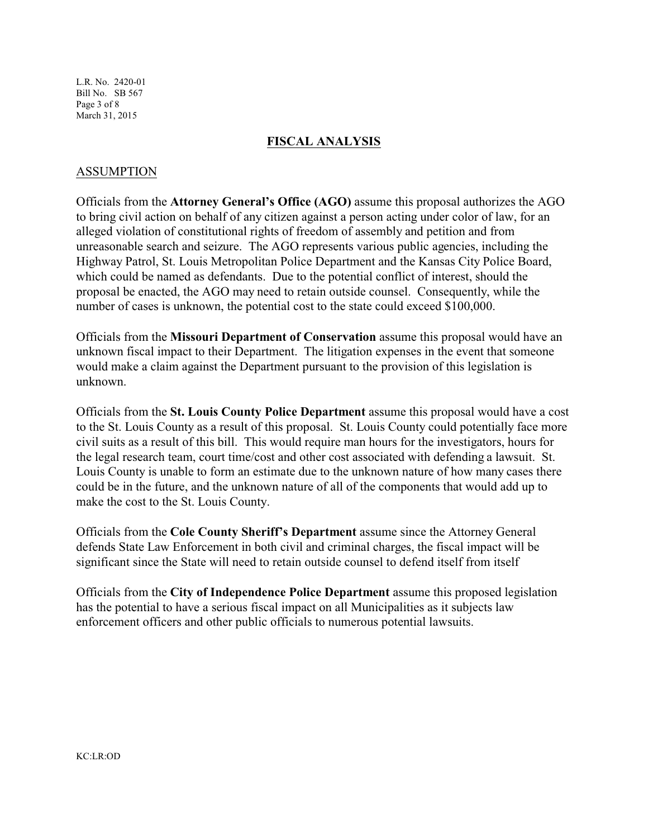L.R. No. 2420-01 Bill No. SB 567 Page 3 of 8 March 31, 2015

#### **FISCAL ANALYSIS**

### ASSUMPTION

Officials from the **Attorney General's Office (AGO)** assume this proposal authorizes the AGO to bring civil action on behalf of any citizen against a person acting under color of law, for an alleged violation of constitutional rights of freedom of assembly and petition and from unreasonable search and seizure. The AGO represents various public agencies, including the Highway Patrol, St. Louis Metropolitan Police Department and the Kansas City Police Board, which could be named as defendants. Due to the potential conflict of interest, should the proposal be enacted, the AGO may need to retain outside counsel. Consequently, while the number of cases is unknown, the potential cost to the state could exceed \$100,000.

Officials from the **Missouri Department of Conservation** assume this proposal would have an unknown fiscal impact to their Department. The litigation expenses in the event that someone would make a claim against the Department pursuant to the provision of this legislation is unknown.

Officials from the **St. Louis County Police Department** assume this proposal would have a cost to the St. Louis County as a result of this proposal. St. Louis County could potentially face more civil suits as a result of this bill. This would require man hours for the investigators, hours for the legal research team, court time/cost and other cost associated with defending a lawsuit. St. Louis County is unable to form an estimate due to the unknown nature of how many cases there could be in the future, and the unknown nature of all of the components that would add up to make the cost to the St. Louis County.

Officials from the **Cole County Sheriff's Department** assume since the Attorney General defends State Law Enforcement in both civil and criminal charges, the fiscal impact will be significant since the State will need to retain outside counsel to defend itself from itself

Officials from the **City of Independence Police Department** assume this proposed legislation has the potential to have a serious fiscal impact on all Municipalities as it subjects law enforcement officers and other public officials to numerous potential lawsuits.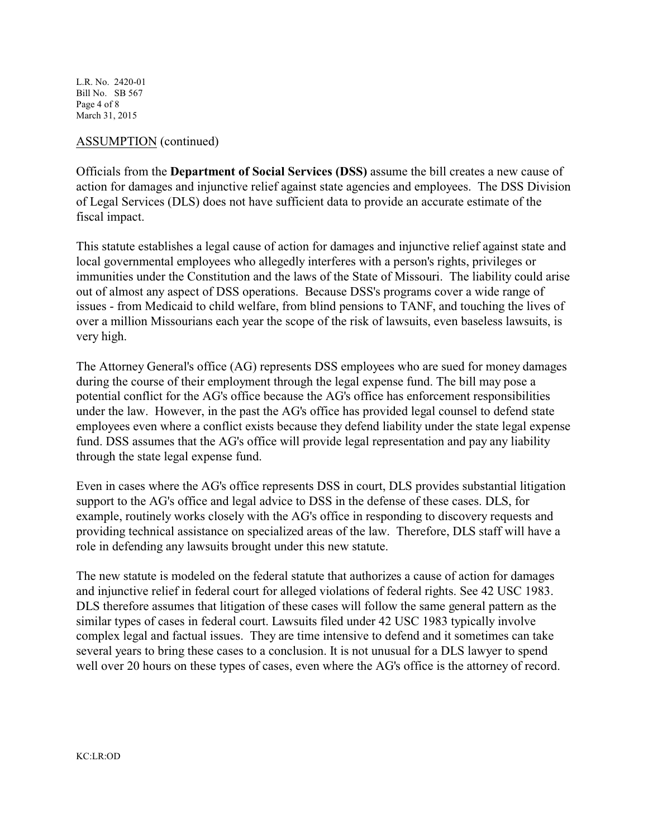L.R. No. 2420-01 Bill No. SB 567 Page 4 of 8 March 31, 2015

### ASSUMPTION (continued)

Officials from the **Department of Social Services (DSS)** assume the bill creates a new cause of action for damages and injunctive relief against state agencies and employees. The DSS Division of Legal Services (DLS) does not have sufficient data to provide an accurate estimate of the fiscal impact.

This statute establishes a legal cause of action for damages and injunctive relief against state and local governmental employees who allegedly interferes with a person's rights, privileges or immunities under the Constitution and the laws of the State of Missouri. The liability could arise out of almost any aspect of DSS operations. Because DSS's programs cover a wide range of issues - from Medicaid to child welfare, from blind pensions to TANF, and touching the lives of over a million Missourians each year the scope of the risk of lawsuits, even baseless lawsuits, is very high.

The Attorney General's office (AG) represents DSS employees who are sued for money damages during the course of their employment through the legal expense fund. The bill may pose a potential conflict for the AG's office because the AG's office has enforcement responsibilities under the law. However, in the past the AG's office has provided legal counsel to defend state employees even where a conflict exists because they defend liability under the state legal expense fund. DSS assumes that the AG's office will provide legal representation and pay any liability through the state legal expense fund.

Even in cases where the AG's office represents DSS in court, DLS provides substantial litigation support to the AG's office and legal advice to DSS in the defense of these cases. DLS, for example, routinely works closely with the AG's office in responding to discovery requests and providing technical assistance on specialized areas of the law. Therefore, DLS staff will have a role in defending any lawsuits brought under this new statute.

The new statute is modeled on the federal statute that authorizes a cause of action for damages and injunctive relief in federal court for alleged violations of federal rights. See 42 USC 1983. DLS therefore assumes that litigation of these cases will follow the same general pattern as the similar types of cases in federal court. Lawsuits filed under 42 USC 1983 typically involve complex legal and factual issues. They are time intensive to defend and it sometimes can take several years to bring these cases to a conclusion. It is not unusual for a DLS lawyer to spend well over 20 hours on these types of cases, even where the AG's office is the attorney of record.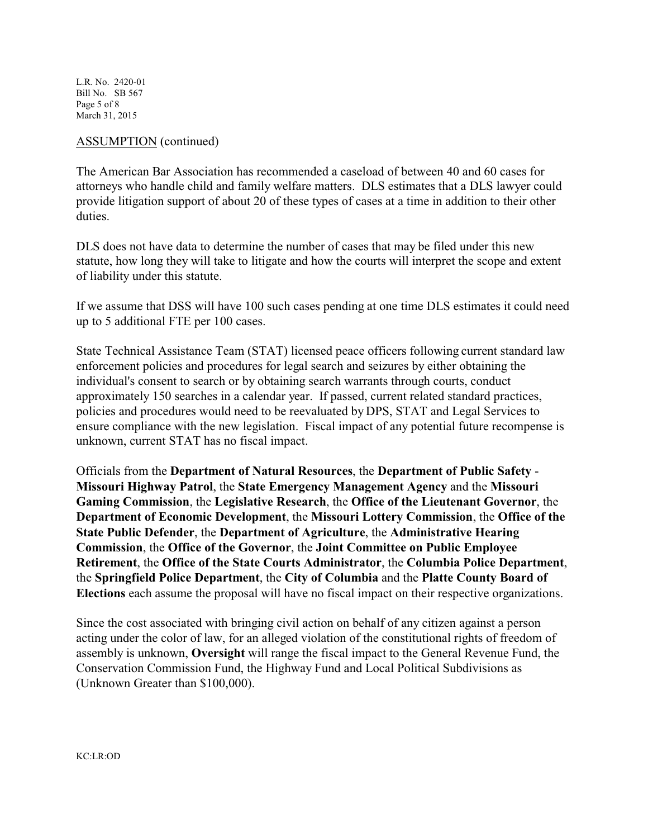L.R. No. 2420-01 Bill No. SB 567 Page 5 of 8 March 31, 2015

#### ASSUMPTION (continued)

The American Bar Association has recommended a caseload of between 40 and 60 cases for attorneys who handle child and family welfare matters. DLS estimates that a DLS lawyer could provide litigation support of about 20 of these types of cases at a time in addition to their other duties.

DLS does not have data to determine the number of cases that may be filed under this new statute, how long they will take to litigate and how the courts will interpret the scope and extent of liability under this statute.

If we assume that DSS will have 100 such cases pending at one time DLS estimates it could need up to 5 additional FTE per 100 cases.

State Technical Assistance Team (STAT) licensed peace officers following current standard law enforcement policies and procedures for legal search and seizures by either obtaining the individual's consent to search or by obtaining search warrants through courts, conduct approximately 150 searches in a calendar year. If passed, current related standard practices, policies and procedures would need to be reevaluated by DPS, STAT and Legal Services to ensure compliance with the new legislation. Fiscal impact of any potential future recompense is unknown, current STAT has no fiscal impact.

Officials from the **Department of Natural Resources**, the **Department of Public Safety** - **Missouri Highway Patrol**, the **State Emergency Management Agency** and the **Missouri Gaming Commission**, the **Legislative Research**, the **Office of the Lieutenant Governor**, the **Department of Economic Development**, the **Missouri Lottery Commission**, the **Office of the State Public Defender**, the **Department of Agriculture**, the **Administrative Hearing Commission**, the **Office of the Governor**, the **Joint Committee on Public Employee Retirement**, the **Office of the State Courts Administrator**, the **Columbia Police Department**, the **Springfield Police Department**, the **City of Columbia** and the **Platte County Board of Elections** each assume the proposal will have no fiscal impact on their respective organizations.

Since the cost associated with bringing civil action on behalf of any citizen against a person acting under the color of law, for an alleged violation of the constitutional rights of freedom of assembly is unknown, **Oversight** will range the fiscal impact to the General Revenue Fund, the Conservation Commission Fund, the Highway Fund and Local Political Subdivisions as (Unknown Greater than \$100,000).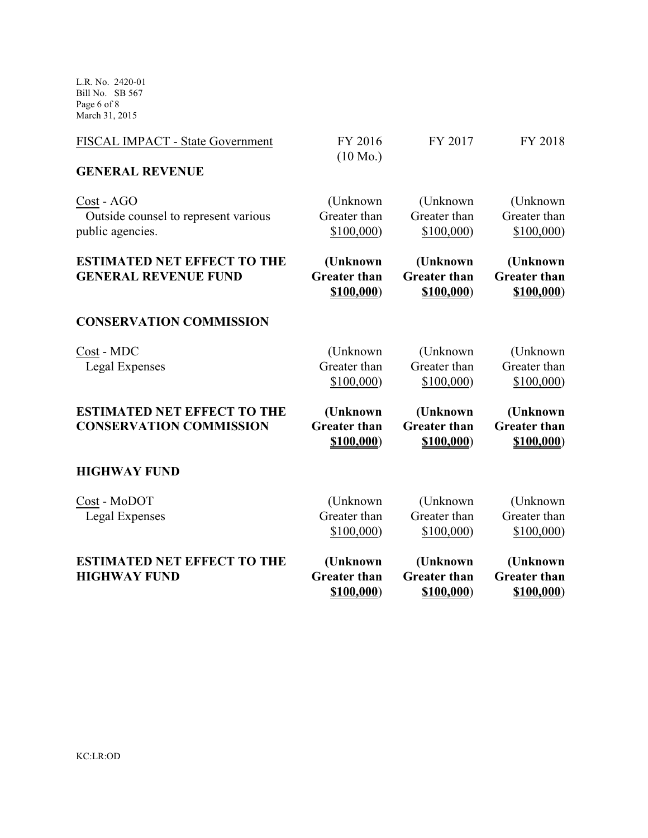L.R. No. 2420-01 Bill No. SB 567 Page 6 of 8 March 31, 2015

| <b>ESTIMATED NET EFFECT TO THE</b><br><b>HIGHWAY FUND</b>              | (Unknown<br><b>Greater than</b><br>\$100,000  | (Unknown<br><b>Greater than</b><br>\$100,000  | (Unknown<br><b>Greater than</b><br>\$100,000 |
|------------------------------------------------------------------------|-----------------------------------------------|-----------------------------------------------|----------------------------------------------|
| Cost - MoDOT<br>Legal Expenses                                         | (Unknown)<br>Greater than<br>\$100,000)       | (Unknown)<br>Greater than<br>\$100,000)       | (Unknown)<br>Greater than<br>\$100,000       |
| <b>HIGHWAY FUND</b>                                                    |                                               |                                               |                                              |
| <b>ESTIMATED NET EFFECT TO THE</b><br><b>CONSERVATION COMMISSION</b>   | (Unknown<br><b>Greater than</b><br>\$100,000) | (Unknown<br><b>Greater than</b><br>\$100,000) | (Unknown<br><b>Greater than</b><br>\$100,000 |
| Cost - MDC<br>Legal Expenses                                           | (Unknown)<br>Greater than<br>\$100,000)       | (Unknown)<br>Greater than<br>\$100,000)       | (Unknown)<br>Greater than<br>\$100,000       |
| <b>CONSERVATION COMMISSION</b>                                         |                                               |                                               |                                              |
| <b>ESTIMATED NET EFFECT TO THE</b><br><b>GENERAL REVENUE FUND</b>      | (Unknown<br><b>Greater than</b><br>\$100,000  | (Unknown<br><b>Greater than</b><br>\$100,000  | (Unknown<br><b>Greater than</b><br>\$100,000 |
| Cost - AGO<br>Outside counsel to represent various<br>public agencies. | (Unknown)<br>Greater than<br>\$100,000)       | (Unknown)<br>Greater than<br>\$100,000)       | (Unknown)<br>Greater than<br>\$100,000)      |
| <b>GENERAL REVENUE</b>                                                 |                                               |                                               |                                              |
| FISCAL IMPACT - State Government                                       | FY 2016<br>$(10 \text{ Mo.})$                 | FY 2017                                       | FY 2018                                      |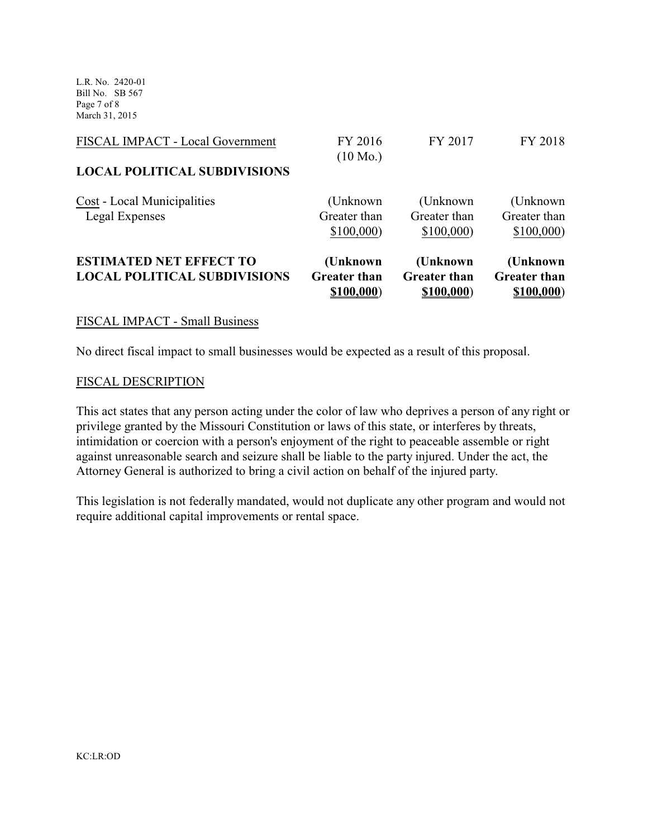L.R. No. 2420-01 Bill No. SB 567 Page 7 of 8 March 31, 2015

| <b>ESTIMATED NET EFFECT TO</b><br><b>LOCAL POLITICAL SUBDIVISIONS</b> | \$100,000<br>(Unknown<br><b>Greater than</b> | \$100,000<br>(Unknown)<br><b>Greater than</b> | \$100,000<br>(Unknown)<br><b>Greater than</b> |
|-----------------------------------------------------------------------|----------------------------------------------|-----------------------------------------------|-----------------------------------------------|
| Cost - Local Municipalities<br>Legal Expenses                         | (Unknown<br>Greater than                     | (Unknown)<br>Greater than                     | (Unknown)<br>Greater than                     |
| <b>LOCAL POLITICAL SUBDIVISIONS</b>                                   | $(10 \text{ Mo.})$                           |                                               |                                               |
| FISCAL IMPACT - Local Government                                      | FY 2016                                      | FY 2017                                       | FY 2018                                       |

#### FISCAL IMPACT - Small Business

No direct fiscal impact to small businesses would be expected as a result of this proposal.

#### FISCAL DESCRIPTION

This act states that any person acting under the color of law who deprives a person of any right or privilege granted by the Missouri Constitution or laws of this state, or interferes by threats, intimidation or coercion with a person's enjoyment of the right to peaceable assemble or right against unreasonable search and seizure shall be liable to the party injured. Under the act, the Attorney General is authorized to bring a civil action on behalf of the injured party.

This legislation is not federally mandated, would not duplicate any other program and would not require additional capital improvements or rental space.